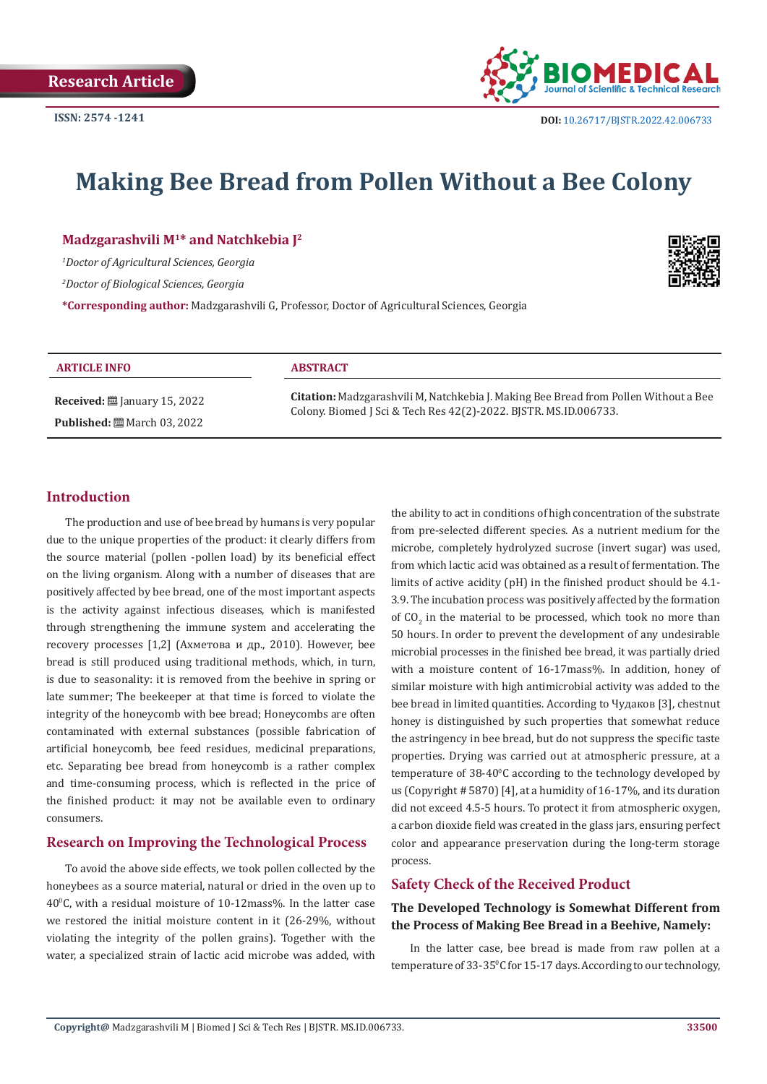

# **Making Bee Bread from Pollen Without a Bee Colony**

#### **Madzgarashvili M1\* and Natchkebia J2**

*1 Doctor of Agricultural Sciences, Georgia*

*2 Doctor of Biological Sciences, Georgia*

**\*Corresponding author:** Madzgarashvili G, Professor, Doctor of Agricultural Sciences, Georgia

#### **ARTICLE INFO ABSTRACT**

**Received:** ■ January 15, 2022 **Published:** ■ March 03, 2022

**Citation:** Madzgarashvili M, Natchkebia J. Making Bee Bread from Pollen Without a Bee Colony. Biomed J Sci & Tech Res 42(2)-2022. BJSTR. MS.ID.006733.

# **Introduction**

The production and use of bee bread by humans is very popular due to the unique properties of the product: it clearly differs from the source material (pollen -pollen load) by its beneficial effect on the living organism. Along with a number of diseases that are positively affected by bee bread, one of the most important aspects is the activity against infectious diseases, which is manifested through strengthening the immune system and accelerating the recovery processes [1,2] (Ахметова и др., 2010). However, bee bread is still produced using traditional methods, which, in turn, is due to seasonality: it is removed from the beehive in spring or late summer; The beekeeper at that time is forced to violate the integrity of the honeycomb with bee bread; Honeycombs are often contaminated with external substances (possible fabrication of artificial honeycomb, bee feed residues, medicinal preparations, etc. Separating bee bread from honeycomb is a rather complex and time-consuming process, which is reflected in the price of the finished product: it may not be available even to ordinary consumers.

#### **Research on Improving the Technological Process**

To avoid the above side effects, we took pollen collected by the honeybees as a source material, natural or dried in the oven up to  $40^{\circ}$ C, with a residual moisture of 10-12mass%. In the latter case we restored the initial moisture content in it (26-29%, without violating the integrity of the pollen grains). Together with the water, a specialized strain of lactic acid microbe was added, with

the ability to act in conditions of high concentration of the substrate from pre-selected different species. As a nutrient medium for the microbe, completely hydrolyzed sucrose (invert sugar) was used, from which lactic acid was obtained as a result of fermentation. The limits of active acidity (pH) in the finished product should be 4.1- 3.9. The incubation process was positively affected by the formation of  $CO_2$  in the material to be processed, which took no more than 50 hours. In order to prevent the development of any undesirable microbial processes in the finished bee bread, it was partially dried with a moisture content of 16-17mass%. In addition, honey of similar moisture with high antimicrobial activity was added to the bee bread in limited quantities. According to Чудаков [3], chestnut honey is distinguished by such properties that somewhat reduce the astringency in bee bread, but do not suppress the specific taste properties. Drying was carried out at atmospheric pressure, at a temperature of 38-40°C according to the technology developed by us (Copyright # 5870) [4], at a humidity of 16-17%, and its duration did not exceed 4.5-5 hours. To protect it from atmospheric oxygen, a carbon dioxide field was created in the glass jars, ensuring perfect color and appearance preservation during the long-term storage process.

#### **Safety Check of the Received Product**

### **The Developed Technology is Somewhat Different from the Process of Making Bee Bread in a Beehive, Namely:**

In the latter case, bee bread is made from raw pollen at a temperature of 33-35°C for 15-17 days. According to our technology,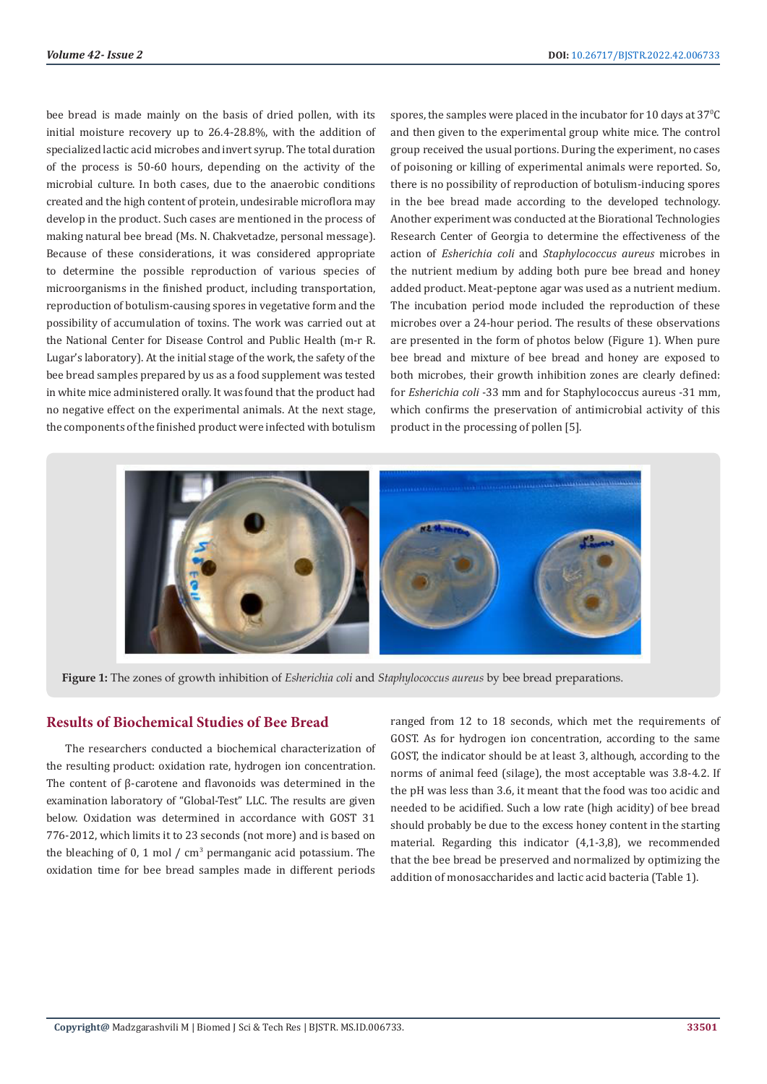bee bread is made mainly on the basis of dried pollen, with its initial moisture recovery up to 26.4-28.8%, with the addition of specialized lactic acid microbes and invert syrup. The total duration of the process is 50-60 hours, depending on the activity of the microbial culture. In both cases, due to the anaerobic conditions created and the high content of protein, undesirable microflora may develop in the product. Such cases are mentioned in the process of making natural bee bread (Ms. N. Chakvetadze, personal message). Because of these considerations, it was considered appropriate to determine the possible reproduction of various species of microorganisms in the finished product, including transportation, reproduction of botulism-causing spores in vegetative form and the possibility of accumulation of toxins. The work was carried out at the National Center for Disease Control and Public Health (m-r R. Lugar's laboratory). At the initial stage of the work, the safety of the bee bread samples prepared by us as a food supplement was tested in white mice administered orally. It was found that the product had no negative effect on the experimental animals. At the next stage, the components of the finished product were infected with botulism

spores, the samples were placed in the incubator for  $10$  days at  $37^{\circ}$ C and then given to the experimental group white mice. The control group received the usual portions. During the experiment, no cases of poisoning or killing of experimental animals were reported. So, there is no possibility of reproduction of botulism-inducing spores in the bee bread made according to the developed technology. Another experiment was conducted at the Biorational Technologies Research Center of Georgia to determine the effectiveness of the action of *Esherichia coli* and *Staphylococcus aureus* microbes in the nutrient medium by adding both pure bee bread and honey added product. Meat-peptone agar was used as a nutrient medium. The incubation period mode included the reproduction of these microbes over a 24-hour period. The results of these observations are presented in the form of photos below (Figure 1). When pure bee bread and mixture of bee bread and honey are exposed to both microbes, their growth inhibition zones are clearly defined: for *Esherichia coli* -33 mm and for Staphylococcus aureus -31 mm, which confirms the preservation of antimicrobial activity of this product in the processing of pollen [5].



**Figure 1:** The zones of growth inhibition of *Esherichia coli* and *Staphylococcus aureus* by bee bread preparations.

# **Results of Biochemical Studies of Bee Bread**

The researchers conducted a biochemical characterization of the resulting product: oxidation rate, hydrogen ion concentration. The content of β-carotene and flavonoids was determined in the examination laboratory of "Global-Test" LLC. The results are given below. Oxidation was determined in accordance with GOST 31 776-2012, which limits it to 23 seconds (not more) and is based on the bleaching of  $0, 1 \text{ mol}$  /  $\text{cm}^3$  permanganic acid potassium. The oxidation time for bee bread samples made in different periods

ranged from 12 to 18 seconds, which met the requirements of GOST. As for hydrogen ion concentration, according to the same GOST, the indicator should be at least 3, although, according to the norms of animal feed (silage), the most acceptable was 3.8-4.2. If the pH was less than 3.6, it meant that the food was too acidic and needed to be acidified. Such a low rate (high acidity) of bee bread should probably be due to the excess honey content in the starting material. Regarding this indicator (4,1-3,8), we recommended that the bee bread be preserved and normalized by optimizing the addition of monosaccharides and lactic acid bacteria (Table 1).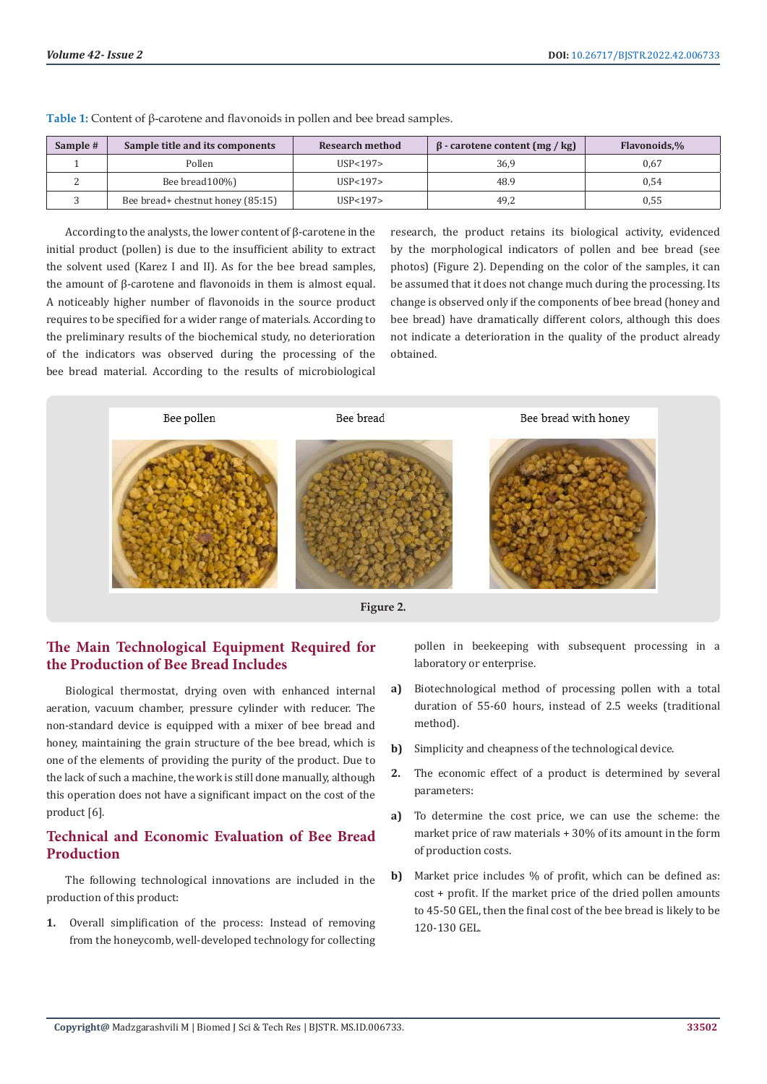| Sample # | Sample title and its components   | <b>Research method</b> | $\beta$ - carotene content (mg / kg) | <b>Flavonoids,%</b> |
|----------|-----------------------------------|------------------------|--------------------------------------|---------------------|
|          | Pollen                            | IJSP <sub>197</sub>    | 36,9                                 | 0,67                |
|          | Bee bread100%)                    | IJSP <sub>197</sub>    | 48.9                                 | 0.54                |
|          | Bee bread+ chestnut honey (85:15) | IJSP <sub>197</sub>    | 49,2                                 | 0,55                |

**Table 1:** Content of β-carotene and flavonoids in pollen and bee bread samples.

According to the analysts, the lower content of β-carotene in the initial product (pollen) is due to the insufficient ability to extract the solvent used (Karez I and II). As for the bee bread samples, the amount of β-carotene and flavonoids in them is almost equal. A noticeably higher number of flavonoids in the source product requires to be specified for a wider range of materials. According to the preliminary results of the biochemical study, no deterioration of the indicators was observed during the processing of the bee bread material. According to the results of microbiological

research, the product retains its biological activity, evidenced by the morphological indicators of pollen and bee bread (see photos) (Figure 2). Depending on the color of the samples, it can be assumed that it does not change much during the processing. Its change is observed only if the components of bee bread (honey and bee bread) have dramatically different colors, although this does not indicate a deterioration in the quality of the product already obtained.





# **The Main Technological Equipment Required for the Production of Bee Bread Includes**

Biological thermostat, drying oven with enhanced internal aeration, vacuum chamber, pressure cylinder with reducer. The non-standard device is equipped with a mixer of bee bread and honey, maintaining the grain structure of the bee bread, which is one of the elements of providing the purity of the product. Due to the lack of such a machine, the work is still done manually, although this operation does not have a significant impact on the cost of the product [6].

# **Technical and Economic Evaluation of Bee Bread Production**

The following technological innovations are included in the production of this product:

**1.** Overall simplification of the process: Instead of removing from the honeycomb, well-developed technology for collecting pollen in beekeeping with subsequent processing in a laboratory or enterprise.

- **a)** Biotechnological method of processing pollen with a total duration of 55-60 hours, instead of 2.5 weeks (traditional method).
- **b)** Simplicity and cheapness of the technological device.
- **2.** The economic effect of a product is determined by several parameters:
- **a)** To determine the cost price, we can use the scheme: the market price of raw materials + 30% of its amount in the form of production costs.
- **b)** Market price includes % of profit, which can be defined as: cost + profit. If the market price of the dried pollen amounts to 45-50 GEL, then the final cost of the bee bread is likely to be 120-130 GEL.